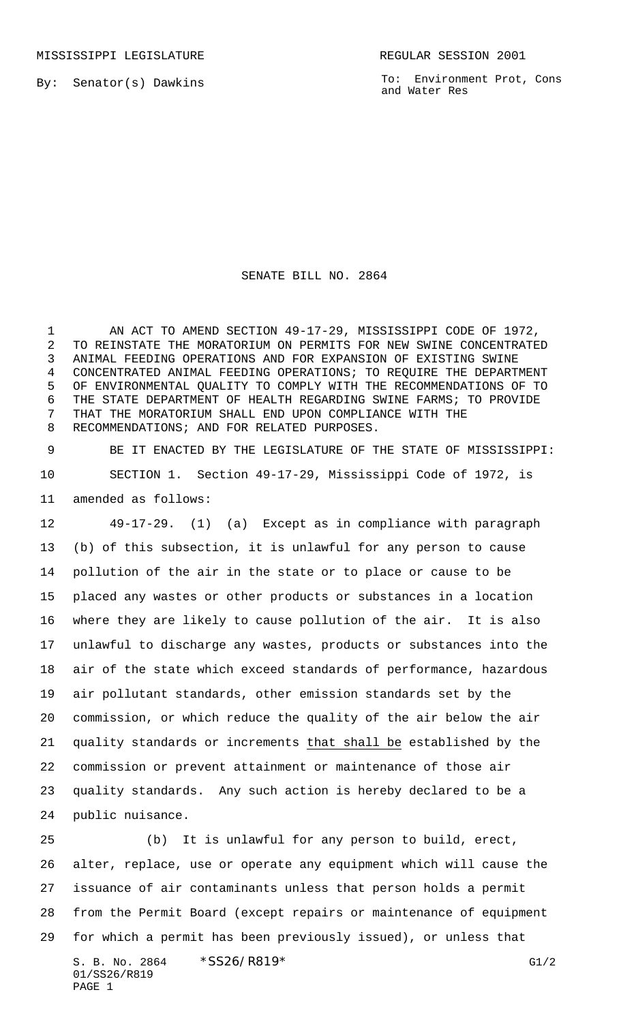MISSISSIPPI LEGISLATURE **REGULAR SESSION 2001** 

By: Senator(s) Dawkins

To: Environment Prot, Cons and Water Res

## SENATE BILL NO. 2864

 AN ACT TO AMEND SECTION 49-17-29, MISSISSIPPI CODE OF 1972, TO REINSTATE THE MORATORIUM ON PERMITS FOR NEW SWINE CONCENTRATED ANIMAL FEEDING OPERATIONS AND FOR EXPANSION OF EXISTING SWINE CONCENTRATED ANIMAL FEEDING OPERATIONS; TO REQUIRE THE DEPARTMENT OF ENVIRONMENTAL QUALITY TO COMPLY WITH THE RECOMMENDATIONS OF TO THE STATE DEPARTMENT OF HEALTH REGARDING SWINE FARMS; TO PROVIDE THAT THE MORATORIUM SHALL END UPON COMPLIANCE WITH THE RECOMMENDATIONS; AND FOR RELATED PURPOSES.

 BE IT ENACTED BY THE LEGISLATURE OF THE STATE OF MISSISSIPPI: SECTION 1. Section 49-17-29, Mississippi Code of 1972, is amended as follows:

 49-17-29. (1) (a) Except as in compliance with paragraph (b) of this subsection, it is unlawful for any person to cause pollution of the air in the state or to place or cause to be placed any wastes or other products or substances in a location where they are likely to cause pollution of the air. It is also unlawful to discharge any wastes, products or substances into the air of the state which exceed standards of performance, hazardous air pollutant standards, other emission standards set by the commission, or which reduce the quality of the air below the air quality standards or increments that shall be established by the commission or prevent attainment or maintenance of those air quality standards. Any such action is hereby declared to be a public nuisance.

 (b) It is unlawful for any person to build, erect, alter, replace, use or operate any equipment which will cause the issuance of air contaminants unless that person holds a permit from the Permit Board (except repairs or maintenance of equipment for which a permit has been previously issued), or unless that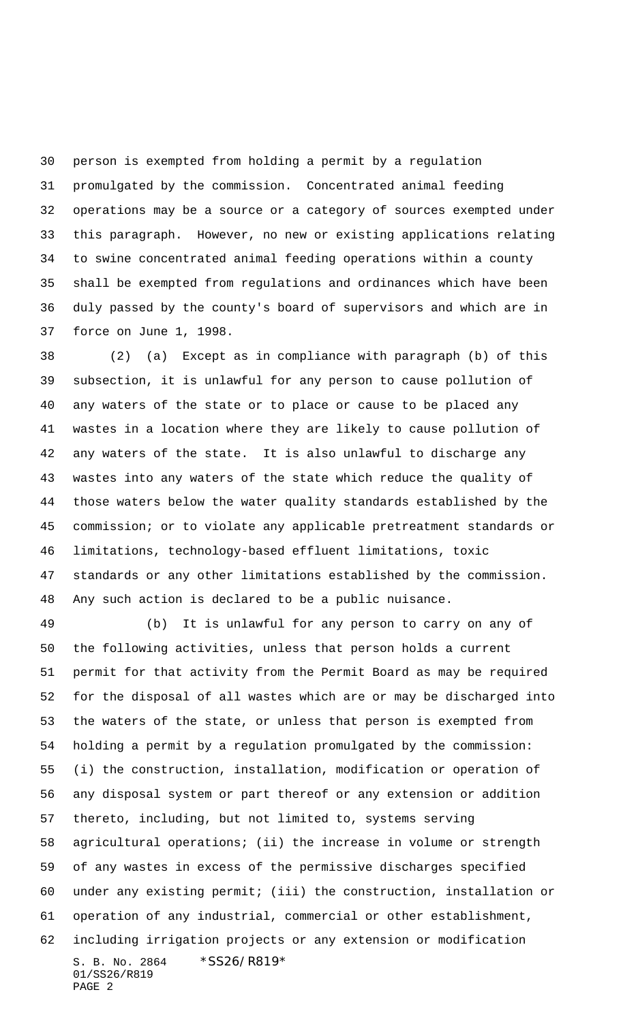person is exempted from holding a permit by a regulation promulgated by the commission. Concentrated animal feeding operations may be a source or a category of sources exempted under this paragraph. However, no new or existing applications relating to swine concentrated animal feeding operations within a county shall be exempted from regulations and ordinances which have been duly passed by the county's board of supervisors and which are in force on June 1, 1998.

 (2) (a) Except as in compliance with paragraph (b) of this subsection, it is unlawful for any person to cause pollution of any waters of the state or to place or cause to be placed any wastes in a location where they are likely to cause pollution of any waters of the state. It is also unlawful to discharge any wastes into any waters of the state which reduce the quality of those waters below the water quality standards established by the commission; or to violate any applicable pretreatment standards or limitations, technology-based effluent limitations, toxic standards or any other limitations established by the commission. Any such action is declared to be a public nuisance.

S. B. No. 2864 \*SS26/R819\* 01/SS26/R819 PAGE 2 (b) It is unlawful for any person to carry on any of the following activities, unless that person holds a current permit for that activity from the Permit Board as may be required for the disposal of all wastes which are or may be discharged into the waters of the state, or unless that person is exempted from holding a permit by a regulation promulgated by the commission: (i) the construction, installation, modification or operation of any disposal system or part thereof or any extension or addition thereto, including, but not limited to, systems serving agricultural operations; (ii) the increase in volume or strength of any wastes in excess of the permissive discharges specified under any existing permit; (iii) the construction, installation or operation of any industrial, commercial or other establishment, including irrigation projects or any extension or modification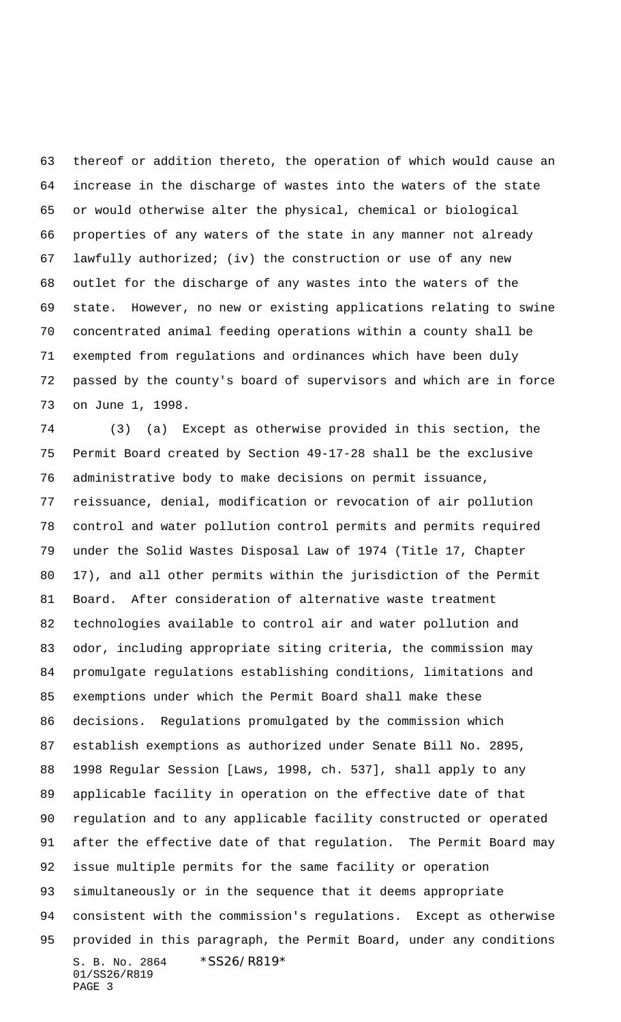thereof or addition thereto, the operation of which would cause an increase in the discharge of wastes into the waters of the state or would otherwise alter the physical, chemical or biological properties of any waters of the state in any manner not already lawfully authorized; (iv) the construction or use of any new outlet for the discharge of any wastes into the waters of the state. However, no new or existing applications relating to swine concentrated animal feeding operations within a county shall be exempted from regulations and ordinances which have been duly passed by the county's board of supervisors and which are in force on June 1, 1998.

S. B. No. 2864 \* SS26/R819\* 01/SS26/R819 PAGE 3 (3) (a) Except as otherwise provided in this section, the Permit Board created by Section 49-17-28 shall be the exclusive administrative body to make decisions on permit issuance, reissuance, denial, modification or revocation of air pollution control and water pollution control permits and permits required under the Solid Wastes Disposal Law of 1974 (Title 17, Chapter 17), and all other permits within the jurisdiction of the Permit Board. After consideration of alternative waste treatment technologies available to control air and water pollution and odor, including appropriate siting criteria, the commission may promulgate regulations establishing conditions, limitations and exemptions under which the Permit Board shall make these decisions. Regulations promulgated by the commission which establish exemptions as authorized under Senate Bill No. 2895, 1998 Regular Session [Laws, 1998, ch. 537], shall apply to any applicable facility in operation on the effective date of that regulation and to any applicable facility constructed or operated after the effective date of that regulation. The Permit Board may issue multiple permits for the same facility or operation simultaneously or in the sequence that it deems appropriate consistent with the commission's regulations. Except as otherwise provided in this paragraph, the Permit Board, under any conditions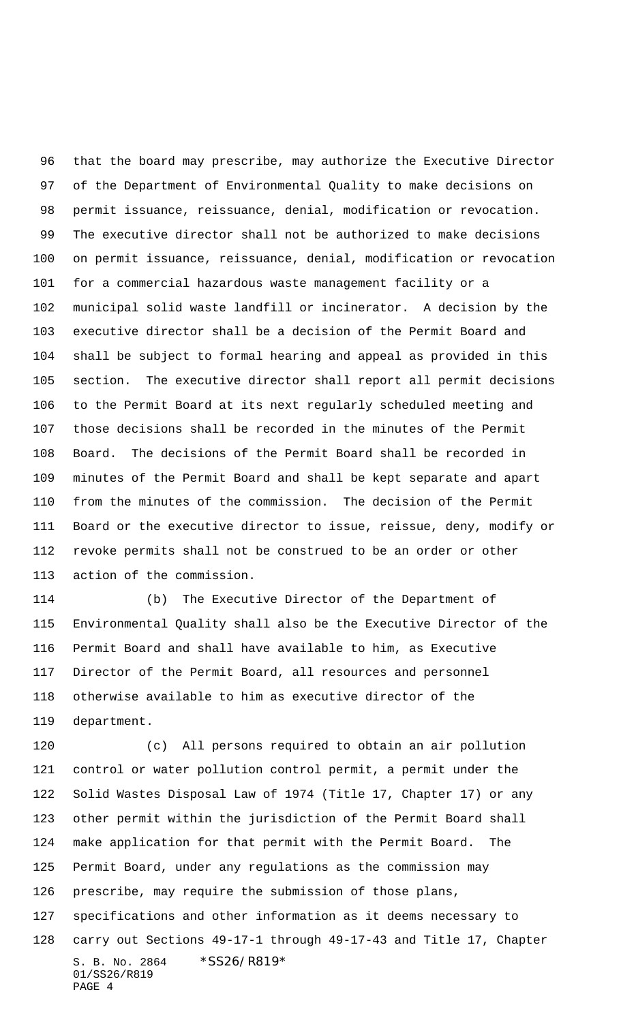that the board may prescribe, may authorize the Executive Director of the Department of Environmental Quality to make decisions on permit issuance, reissuance, denial, modification or revocation. The executive director shall not be authorized to make decisions on permit issuance, reissuance, denial, modification or revocation for a commercial hazardous waste management facility or a municipal solid waste landfill or incinerator. A decision by the executive director shall be a decision of the Permit Board and shall be subject to formal hearing and appeal as provided in this section. The executive director shall report all permit decisions to the Permit Board at its next regularly scheduled meeting and those decisions shall be recorded in the minutes of the Permit Board. The decisions of the Permit Board shall be recorded in minutes of the Permit Board and shall be kept separate and apart from the minutes of the commission. The decision of the Permit Board or the executive director to issue, reissue, deny, modify or revoke permits shall not be construed to be an order or other action of the commission.

 (b) The Executive Director of the Department of Environmental Quality shall also be the Executive Director of the Permit Board and shall have available to him, as Executive Director of the Permit Board, all resources and personnel otherwise available to him as executive director of the department.

S. B. No. 2864 \* SS26/R819\* 01/SS26/R819 PAGE 4 (c) All persons required to obtain an air pollution control or water pollution control permit, a permit under the Solid Wastes Disposal Law of 1974 (Title 17, Chapter 17) or any other permit within the jurisdiction of the Permit Board shall make application for that permit with the Permit Board. The Permit Board, under any regulations as the commission may prescribe, may require the submission of those plans, specifications and other information as it deems necessary to carry out Sections 49-17-1 through 49-17-43 and Title 17, Chapter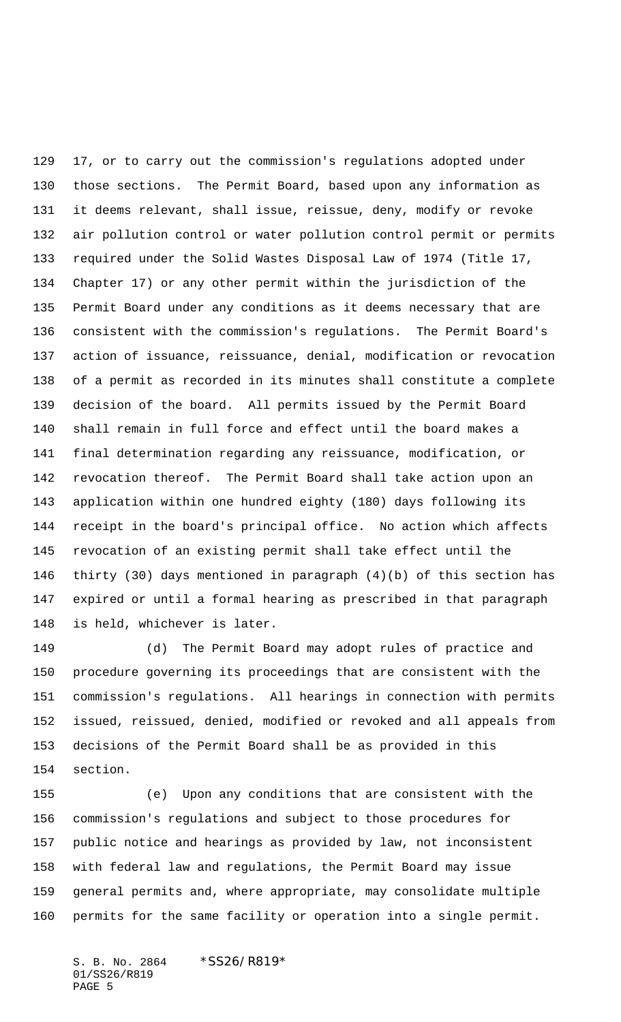17, or to carry out the commission's regulations adopted under those sections. The Permit Board, based upon any information as it deems relevant, shall issue, reissue, deny, modify or revoke air pollution control or water pollution control permit or permits required under the Solid Wastes Disposal Law of 1974 (Title 17, Chapter 17) or any other permit within the jurisdiction of the Permit Board under any conditions as it deems necessary that are consistent with the commission's regulations. The Permit Board's action of issuance, reissuance, denial, modification or revocation of a permit as recorded in its minutes shall constitute a complete decision of the board. All permits issued by the Permit Board shall remain in full force and effect until the board makes a final determination regarding any reissuance, modification, or revocation thereof. The Permit Board shall take action upon an application within one hundred eighty (180) days following its receipt in the board's principal office. No action which affects revocation of an existing permit shall take effect until the thirty (30) days mentioned in paragraph (4)(b) of this section has expired or until a formal hearing as prescribed in that paragraph is held, whichever is later.

 (d) The Permit Board may adopt rules of practice and procedure governing its proceedings that are consistent with the commission's regulations. All hearings in connection with permits issued, reissued, denied, modified or revoked and all appeals from decisions of the Permit Board shall be as provided in this section.

 (e) Upon any conditions that are consistent with the commission's regulations and subject to those procedures for public notice and hearings as provided by law, not inconsistent with federal law and regulations, the Permit Board may issue general permits and, where appropriate, may consolidate multiple permits for the same facility or operation into a single permit.

S. B. No. 2864 \* SS26/R819\* 01/SS26/R819 PAGE 5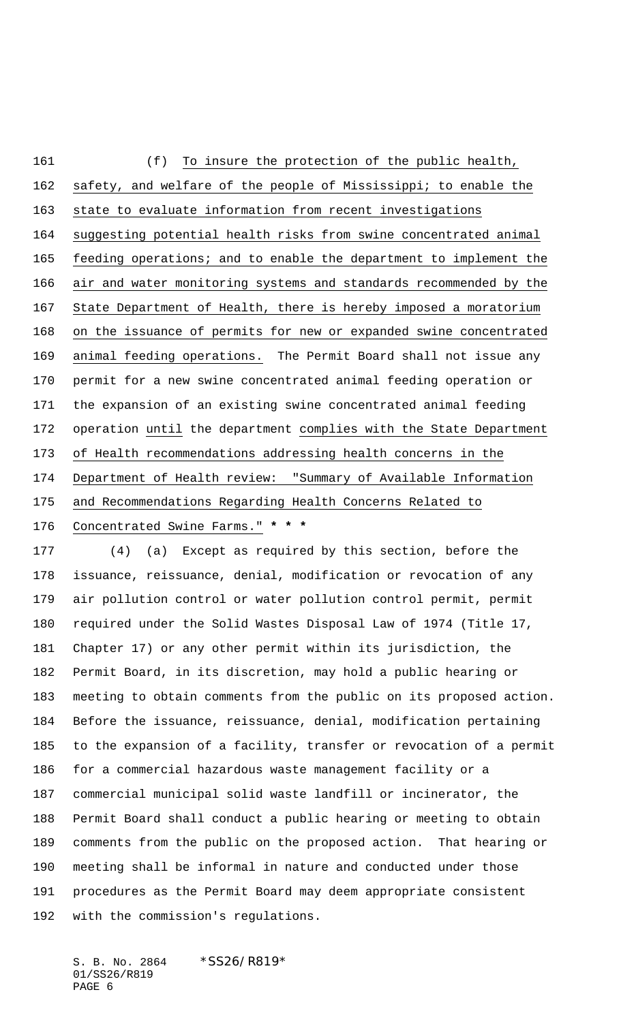(f) To insure the protection of the public health, safety, and welfare of the people of Mississippi; to enable the state to evaluate information from recent investigations suggesting potential health risks from swine concentrated animal feeding operations; and to enable the department to implement the air and water monitoring systems and standards recommended by the State Department of Health, there is hereby imposed a moratorium on the issuance of permits for new or expanded swine concentrated animal feeding operations. The Permit Board shall not issue any permit for a new swine concentrated animal feeding operation or the expansion of an existing swine concentrated animal feeding operation until the department complies with the State Department of Health recommendations addressing health concerns in the Department of Health review: "Summary of Available Information and Recommendations Regarding Health Concerns Related to Concentrated Swine Farms." **\* \* \***

 (4) (a) Except as required by this section, before the issuance, reissuance, denial, modification or revocation of any air pollution control or water pollution control permit, permit required under the Solid Wastes Disposal Law of 1974 (Title 17, Chapter 17) or any other permit within its jurisdiction, the Permit Board, in its discretion, may hold a public hearing or meeting to obtain comments from the public on its proposed action. Before the issuance, reissuance, denial, modification pertaining to the expansion of a facility, transfer or revocation of a permit for a commercial hazardous waste management facility or a commercial municipal solid waste landfill or incinerator, the Permit Board shall conduct a public hearing or meeting to obtain comments from the public on the proposed action. That hearing or meeting shall be informal in nature and conducted under those procedures as the Permit Board may deem appropriate consistent with the commission's regulations.

S. B. No. 2864 \* SS26/R819\* 01/SS26/R819 PAGE 6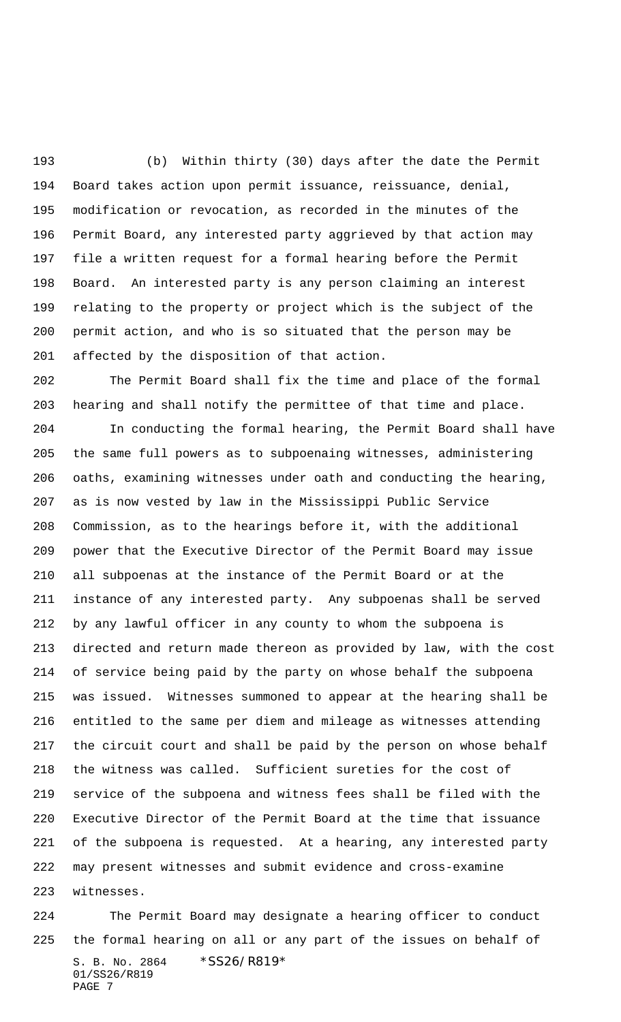(b) Within thirty (30) days after the date the Permit Board takes action upon permit issuance, reissuance, denial, modification or revocation, as recorded in the minutes of the Permit Board, any interested party aggrieved by that action may file a written request for a formal hearing before the Permit Board. An interested party is any person claiming an interest relating to the property or project which is the subject of the permit action, and who is so situated that the person may be affected by the disposition of that action.

 The Permit Board shall fix the time and place of the formal hearing and shall notify the permittee of that time and place.

 In conducting the formal hearing, the Permit Board shall have the same full powers as to subpoenaing witnesses, administering oaths, examining witnesses under oath and conducting the hearing, as is now vested by law in the Mississippi Public Service Commission, as to the hearings before it, with the additional power that the Executive Director of the Permit Board may issue all subpoenas at the instance of the Permit Board or at the instance of any interested party. Any subpoenas shall be served by any lawful officer in any county to whom the subpoena is directed and return made thereon as provided by law, with the cost of service being paid by the party on whose behalf the subpoena was issued. Witnesses summoned to appear at the hearing shall be entitled to the same per diem and mileage as witnesses attending the circuit court and shall be paid by the person on whose behalf the witness was called. Sufficient sureties for the cost of service of the subpoena and witness fees shall be filed with the Executive Director of the Permit Board at the time that issuance of the subpoena is requested. At a hearing, any interested party may present witnesses and submit evidence and cross-examine witnesses.

S. B. No. 2864 \* SS26/R819\* 01/SS26/R819 PAGE 7 The Permit Board may designate a hearing officer to conduct the formal hearing on all or any part of the issues on behalf of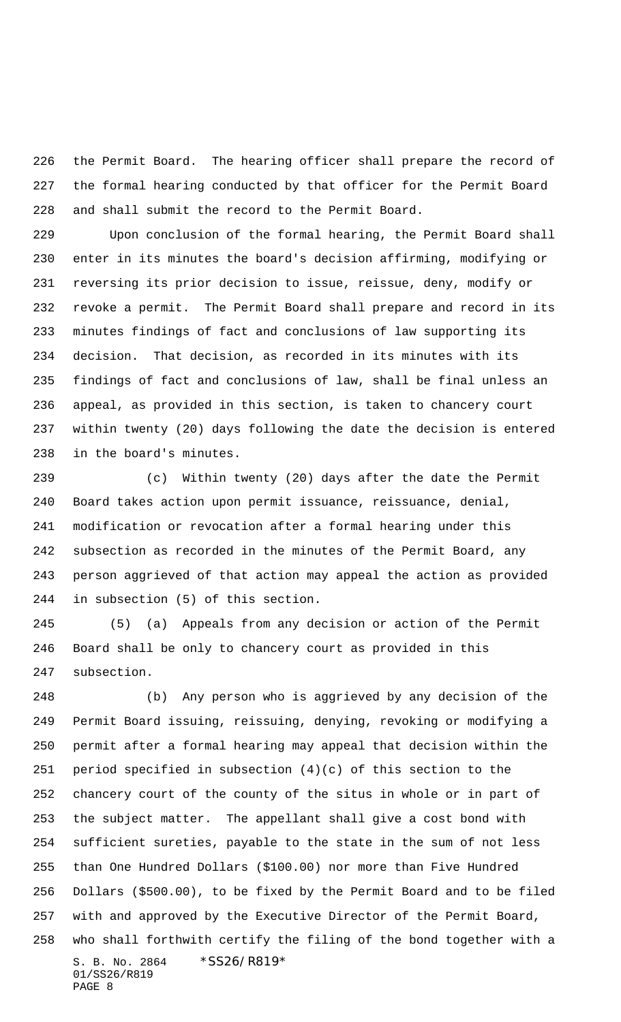the Permit Board. The hearing officer shall prepare the record of the formal hearing conducted by that officer for the Permit Board and shall submit the record to the Permit Board.

 Upon conclusion of the formal hearing, the Permit Board shall enter in its minutes the board's decision affirming, modifying or reversing its prior decision to issue, reissue, deny, modify or revoke a permit. The Permit Board shall prepare and record in its minutes findings of fact and conclusions of law supporting its decision. That decision, as recorded in its minutes with its findings of fact and conclusions of law, shall be final unless an appeal, as provided in this section, is taken to chancery court within twenty (20) days following the date the decision is entered in the board's minutes.

 (c) Within twenty (20) days after the date the Permit Board takes action upon permit issuance, reissuance, denial, modification or revocation after a formal hearing under this subsection as recorded in the minutes of the Permit Board, any person aggrieved of that action may appeal the action as provided in subsection (5) of this section.

 (5) (a) Appeals from any decision or action of the Permit Board shall be only to chancery court as provided in this subsection.

S. B. No. 2864 \* SS26/R819\* 01/SS26/R819 (b) Any person who is aggrieved by any decision of the Permit Board issuing, reissuing, denying, revoking or modifying a permit after a formal hearing may appeal that decision within the period specified in subsection (4)(c) of this section to the chancery court of the county of the situs in whole or in part of the subject matter. The appellant shall give a cost bond with sufficient sureties, payable to the state in the sum of not less than One Hundred Dollars (\$100.00) nor more than Five Hundred Dollars (\$500.00), to be fixed by the Permit Board and to be filed with and approved by the Executive Director of the Permit Board, who shall forthwith certify the filing of the bond together with a

```
PAGE 8
```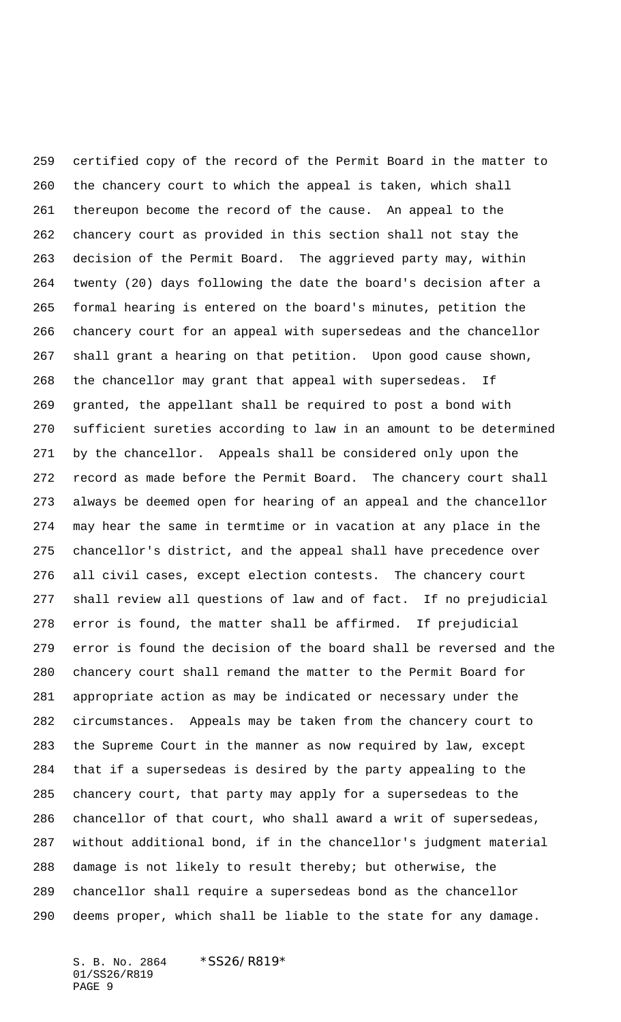certified copy of the record of the Permit Board in the matter to the chancery court to which the appeal is taken, which shall thereupon become the record of the cause. An appeal to the chancery court as provided in this section shall not stay the decision of the Permit Board. The aggrieved party may, within twenty (20) days following the date the board's decision after a formal hearing is entered on the board's minutes, petition the chancery court for an appeal with supersedeas and the chancellor shall grant a hearing on that petition. Upon good cause shown, the chancellor may grant that appeal with supersedeas. If granted, the appellant shall be required to post a bond with sufficient sureties according to law in an amount to be determined by the chancellor. Appeals shall be considered only upon the record as made before the Permit Board. The chancery court shall always be deemed open for hearing of an appeal and the chancellor may hear the same in termtime or in vacation at any place in the chancellor's district, and the appeal shall have precedence over all civil cases, except election contests. The chancery court shall review all questions of law and of fact. If no prejudicial error is found, the matter shall be affirmed. If prejudicial error is found the decision of the board shall be reversed and the chancery court shall remand the matter to the Permit Board for appropriate action as may be indicated or necessary under the circumstances. Appeals may be taken from the chancery court to the Supreme Court in the manner as now required by law, except that if a supersedeas is desired by the party appealing to the chancery court, that party may apply for a supersedeas to the chancellor of that court, who shall award a writ of supersedeas, without additional bond, if in the chancellor's judgment material damage is not likely to result thereby; but otherwise, the chancellor shall require a supersedeas bond as the chancellor deems proper, which shall be liable to the state for any damage.

S. B. No. 2864 \* SS26/R819\* 01/SS26/R819 PAGE 9